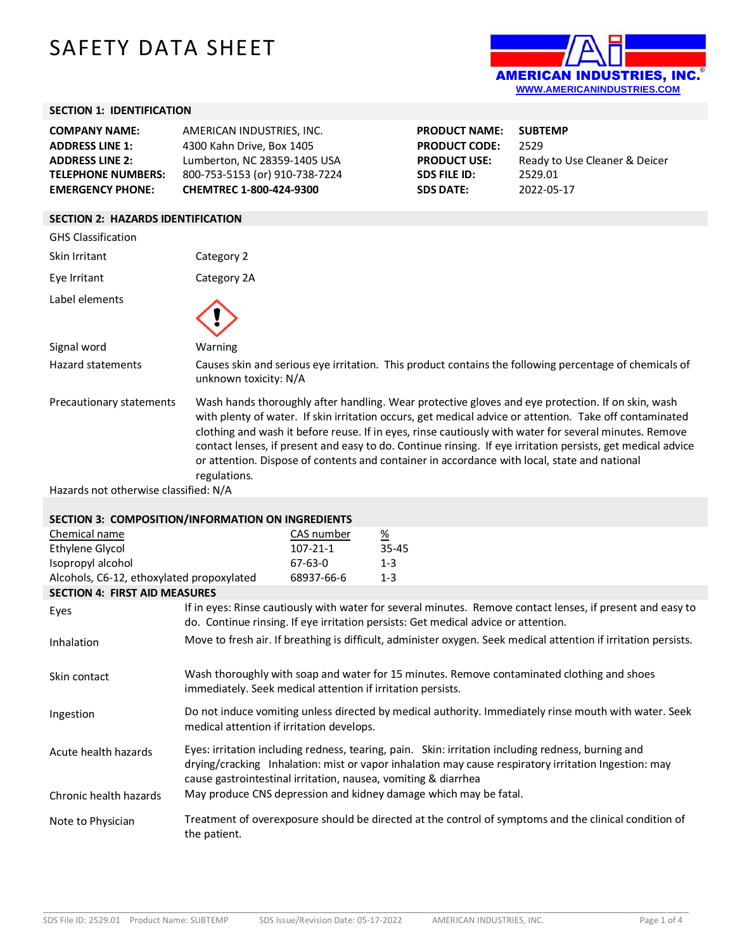# SAFETY DATA SHEET



### **SECTION 1: IDENTIFICATION**

| <b>COMPANY NAME:</b>                     | AMERICAN INDUSTRIES, INC.      | <b>PRODUCT NAME:</b> | <b>SUBTEMP</b>                |
|------------------------------------------|--------------------------------|----------------------|-------------------------------|
| <b>ADDRESS LINE 1:</b>                   | 4300 Kahn Drive, Box 1405      | <b>PRODUCT CODE:</b> | 2529                          |
| <b>ADDRESS LINE 2:</b>                   | Lumberton, NC 28359-1405 USA   | <b>PRODUCT USE:</b>  | Ready to Use Cleaner & Deicer |
| <b>TELEPHONE NUMBERS:</b>                | 800-753-5153 (or) 910-738-7224 | <b>SDS FILE ID:</b>  | 2529.01                       |
| <b>EMERGENCY PHONE:</b>                  | CHEMTREC 1-800-424-9300        | <b>SDS DATE:</b>     | 2022-05-17                    |
|                                          |                                |                      |                               |
| <b>SECTION 2: HAZARDS IDENTIFICATION</b> |                                |                      |                               |
| <b>GHS Classification</b>                |                                |                      |                               |
|                                          |                                |                      |                               |

| Skin Irritant                         | Category 2                                                                                                                                                                                                                                                                                                                                                                                                                                                                                                                                            |
|---------------------------------------|-------------------------------------------------------------------------------------------------------------------------------------------------------------------------------------------------------------------------------------------------------------------------------------------------------------------------------------------------------------------------------------------------------------------------------------------------------------------------------------------------------------------------------------------------------|
| Eye Irritant                          | Category 2A                                                                                                                                                                                                                                                                                                                                                                                                                                                                                                                                           |
| Label elements                        |                                                                                                                                                                                                                                                                                                                                                                                                                                                                                                                                                       |
| Signal word                           | Warning                                                                                                                                                                                                                                                                                                                                                                                                                                                                                                                                               |
| Hazard statements                     | Causes skin and serious eye irritation. This product contains the following percentage of chemicals of<br>unknown toxicity: N/A                                                                                                                                                                                                                                                                                                                                                                                                                       |
| Precautionary statements              | Wash hands thoroughly after handling. Wear protective gloves and eye protection. If on skin, wash<br>with plenty of water. If skin irritation occurs, get medical advice or attention. Take off contaminated<br>clothing and wash it before reuse. If in eyes, rinse cautiously with water for several minutes. Remove<br>contact lenses, if present and easy to do. Continue rinsing. If eye irritation persists, get medical advice<br>or attention. Dispose of contents and container in accordance with local, state and national<br>regulations. |
| Hazards not otherwise classified: N/A |                                                                                                                                                                                                                                                                                                                                                                                                                                                                                                                                                       |
|                                       |                                                                                                                                                                                                                                                                                                                                                                                                                                                                                                                                                       |

## **SECTION 3: COMPOSITION/INFORMATION ON INGREDIENTS**

| Chemical name                             |                                                                                    | CAS number     | $\frac{\%}{\%}$ |                                                                                                                                                                                                            |
|-------------------------------------------|------------------------------------------------------------------------------------|----------------|-----------------|------------------------------------------------------------------------------------------------------------------------------------------------------------------------------------------------------------|
| Ethylene Glycol                           |                                                                                    | $107 - 21 - 1$ | $35 - 45$       |                                                                                                                                                                                                            |
| Isopropyl alcohol                         |                                                                                    | 67-63-0        | $1 - 3$         |                                                                                                                                                                                                            |
| Alcohols, C6-12, ethoxylated propoxylated |                                                                                    | 68937-66-6     | $1 - 3$         |                                                                                                                                                                                                            |
| <b>SECTION 4: FIRST AID MEASURES</b>      |                                                                                    |                |                 |                                                                                                                                                                                                            |
| Eyes                                      | do. Continue rinsing. If eye irritation persists: Get medical advice or attention. |                |                 | If in eyes: Rinse cautiously with water for several minutes. Remove contact lenses, if present and easy to                                                                                                 |
| Inhalation                                |                                                                                    |                |                 | Move to fresh air. If breathing is difficult, administer oxygen. Seek medical attention if irritation persists.                                                                                            |
| Skin contact                              | immediately. Seek medical attention if irritation persists.                        |                |                 | Wash thoroughly with soap and water for 15 minutes. Remove contaminated clothing and shoes                                                                                                                 |
| Ingestion                                 | medical attention if irritation develops.                                          |                |                 | Do not induce vomiting unless directed by medical authority. Immediately rinse mouth with water. Seek                                                                                                      |
| Acute health hazards                      | cause gastrointestinal irritation, nausea, vomiting & diarrhea                     |                |                 | Eyes: irritation including redness, tearing, pain. Skin: irritation including redness, burning and<br>drying/cracking Inhalation: mist or vapor inhalation may cause respiratory irritation Ingestion: may |
| Chronic health hazards                    | May produce CNS depression and kidney damage which may be fatal.                   |                |                 |                                                                                                                                                                                                            |
| Note to Physician                         | the patient.                                                                       |                |                 | Treatment of overexposure should be directed at the control of symptoms and the clinical condition of                                                                                                      |

\_\_\_\_\_\_\_\_\_\_\_\_\_\_\_\_\_\_\_\_\_\_\_\_\_\_\_\_\_\_\_\_\_\_\_\_\_\_\_\_\_\_\_\_\_\_\_\_\_\_\_\_\_\_\_\_\_\_\_\_\_\_\_\_\_\_\_\_\_\_\_\_\_\_\_\_\_\_\_\_\_\_\_\_\_\_\_\_\_\_\_\_\_\_\_\_\_\_\_\_\_\_\_\_\_\_\_\_\_\_\_\_\_\_\_\_\_\_\_\_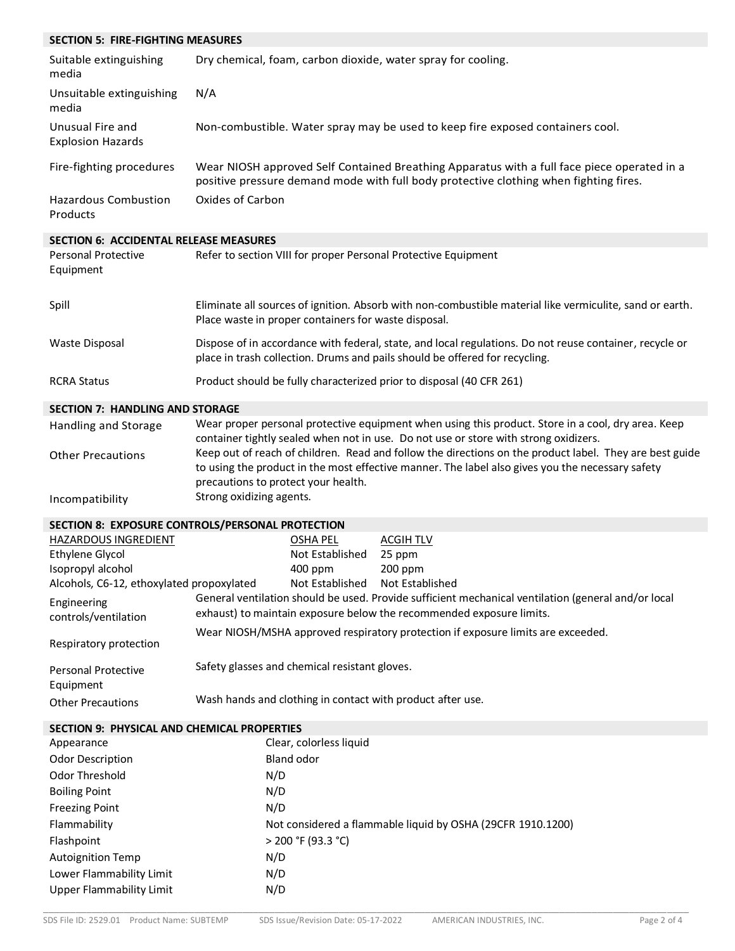| <b>SECTION 5: FIRE-FIGHTING MEASURES</b>           |                                                                                                                                                                                                                                                                                                                                            |  |  |
|----------------------------------------------------|--------------------------------------------------------------------------------------------------------------------------------------------------------------------------------------------------------------------------------------------------------------------------------------------------------------------------------------------|--|--|
| Suitable extinguishing<br>media                    | Dry chemical, foam, carbon dioxide, water spray for cooling.                                                                                                                                                                                                                                                                               |  |  |
| Unsuitable extinguishing<br>media                  | N/A                                                                                                                                                                                                                                                                                                                                        |  |  |
| Unusual Fire and<br><b>Explosion Hazards</b>       | Non-combustible. Water spray may be used to keep fire exposed containers cool.                                                                                                                                                                                                                                                             |  |  |
| Fire-fighting procedures                           | Wear NIOSH approved Self Contained Breathing Apparatus with a full face piece operated in a<br>positive pressure demand mode with full body protective clothing when fighting fires.                                                                                                                                                       |  |  |
| <b>Hazardous Combustion</b><br>Products            | Oxides of Carbon                                                                                                                                                                                                                                                                                                                           |  |  |
| <b>SECTION 6: ACCIDENTAL RELEASE MEASURES</b>      |                                                                                                                                                                                                                                                                                                                                            |  |  |
| <b>Personal Protective</b><br>Equipment            | Refer to section VIII for proper Personal Protective Equipment                                                                                                                                                                                                                                                                             |  |  |
| Spill                                              | Eliminate all sources of ignition. Absorb with non-combustible material like vermiculite, sand or earth.<br>Place waste in proper containers for waste disposal.                                                                                                                                                                           |  |  |
| <b>Waste Disposal</b>                              | Dispose of in accordance with federal, state, and local regulations. Do not reuse container, recycle or<br>place in trash collection. Drums and pails should be offered for recycling.                                                                                                                                                     |  |  |
| <b>RCRA Status</b>                                 | Product should be fully characterized prior to disposal (40 CFR 261)                                                                                                                                                                                                                                                                       |  |  |
| <b>SECTION 7: HANDLING AND STORAGE</b>             |                                                                                                                                                                                                                                                                                                                                            |  |  |
| Handling and Storage                               | Wear proper personal protective equipment when using this product. Store in a cool, dry area. Keep                                                                                                                                                                                                                                         |  |  |
| <b>Other Precautions</b>                           | container tightly sealed when not in use. Do not use or store with strong oxidizers.<br>Keep out of reach of children. Read and follow the directions on the product label. They are best guide<br>to using the product in the most effective manner. The label also gives you the necessary safety<br>precautions to protect your health. |  |  |
| Incompatibility                                    | Strong oxidizing agents.                                                                                                                                                                                                                                                                                                                   |  |  |
|                                                    | SECTION 8: EXPOSURE CONTROLS/PERSONAL PROTECTION                                                                                                                                                                                                                                                                                           |  |  |
| HAZARDOUS INGREDIENT                               | <b>OSHA PEL</b><br><b>ACGIHTLV</b>                                                                                                                                                                                                                                                                                                         |  |  |
| <b>Ethylene Glycol</b>                             | Not Established<br>25 ppm                                                                                                                                                                                                                                                                                                                  |  |  |
| Isopropyl alcohol                                  | 400 ppm<br>200 ppm                                                                                                                                                                                                                                                                                                                         |  |  |
| Alcohols, C6-12, ethoxylated propoxylated          | Not Established<br>Not Established<br>General ventilation should be used. Provide sufficient mechanical ventilation (general and/or local                                                                                                                                                                                                  |  |  |
| Engineering                                        | exhaust) to maintain exposure below the recommended exposure limits.                                                                                                                                                                                                                                                                       |  |  |
| controls/ventilation                               |                                                                                                                                                                                                                                                                                                                                            |  |  |
| Respiratory protection                             | Wear NIOSH/MSHA approved respiratory protection if exposure limits are exceeded.                                                                                                                                                                                                                                                           |  |  |
| <b>Personal Protective</b><br>Equipment            | Safety glasses and chemical resistant gloves.                                                                                                                                                                                                                                                                                              |  |  |
| <b>Other Precautions</b>                           | Wash hands and clothing in contact with product after use.                                                                                                                                                                                                                                                                                 |  |  |
| <b>SECTION 9: PHYSICAL AND CHEMICAL PROPERTIES</b> |                                                                                                                                                                                                                                                                                                                                            |  |  |
| Appearance                                         | Clear, colorless liquid                                                                                                                                                                                                                                                                                                                    |  |  |
| <b>Odor Description</b>                            | Bland odor                                                                                                                                                                                                                                                                                                                                 |  |  |
| Odor Threshold                                     | N/D                                                                                                                                                                                                                                                                                                                                        |  |  |
| <b>Boiling Point</b>                               | N/D                                                                                                                                                                                                                                                                                                                                        |  |  |
| <b>Freezing Point</b>                              | N/D                                                                                                                                                                                                                                                                                                                                        |  |  |
| Flammability                                       | Not considered a flammable liquid by OSHA (29CFR 1910.1200)                                                                                                                                                                                                                                                                                |  |  |
| Flashpoint                                         | > 200 °F (93.3 °C)                                                                                                                                                                                                                                                                                                                         |  |  |
| <b>Autoignition Temp</b>                           | N/D                                                                                                                                                                                                                                                                                                                                        |  |  |
| Lower Flammability Limit                           | N/D                                                                                                                                                                                                                                                                                                                                        |  |  |
| <b>Upper Flammability Limit</b>                    | N/D                                                                                                                                                                                                                                                                                                                                        |  |  |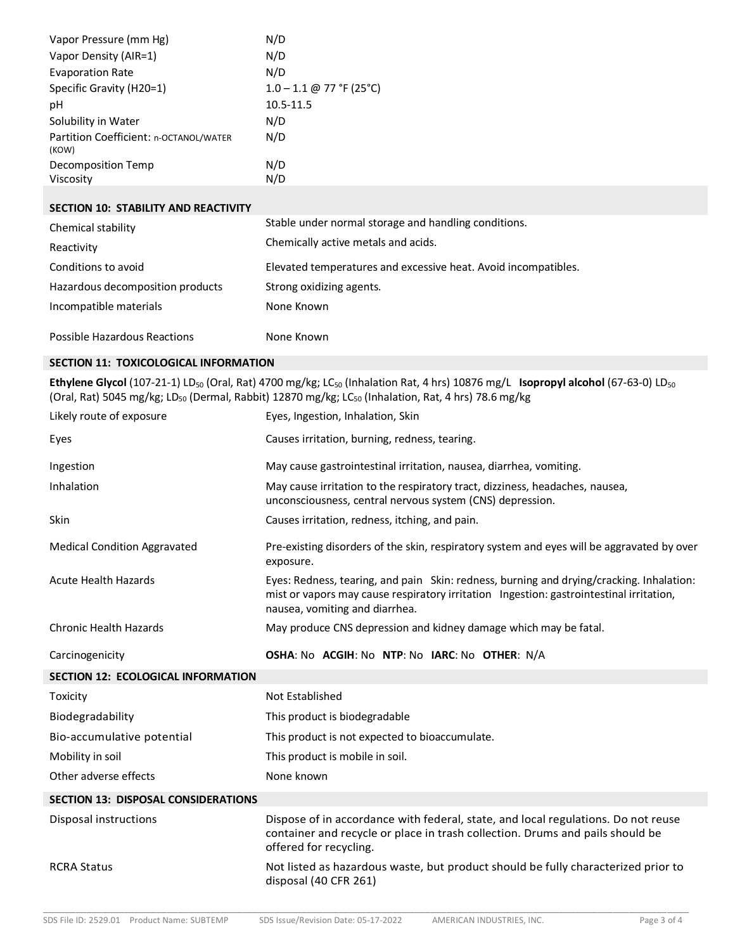| Vapor Pressure (mm Hg)                          | N/D                             |
|-------------------------------------------------|---------------------------------|
| Vapor Density (AIR=1)                           | N/D                             |
| <b>Evaporation Rate</b>                         | N/D                             |
| Specific Gravity (H20=1)                        | $1.0 - 1.1 \oplus 77$ °F (25°C) |
| рH                                              | 10.5-11.5                       |
| Solubility in Water                             | N/D                             |
| Partition Coefficient: n-OCTANOL/WATER<br>(KOW) | N/D                             |
| Decomposition Temp                              | N/D                             |
| Viscosity                                       | N/D                             |

#### **SECTION 10: STABILITY AND REACTIVITY**

| Chemical stability                  | Stable under normal storage and handling conditions.           |
|-------------------------------------|----------------------------------------------------------------|
| Reactivity                          | Chemically active metals and acids.                            |
| Conditions to avoid                 | Elevated temperatures and excessive heat. Avoid incompatibles. |
| Hazardous decomposition products    | Strong oxidizing agents.                                       |
| Incompatible materials              | None Known                                                     |
| <b>Possible Hazardous Reactions</b> | None Known                                                     |

#### **SECTION 11: TOXICOLOGICAL INFORMATION**

Ethylene Glycol (107-21-1) LD<sub>50</sub> (Oral, Rat) 4700 mg/kg; LC<sub>50</sub> (Inhalation Rat, 4 hrs) 10876 mg/L **Isopropyl alcohol** (67-63-0) LD<sub>50</sub> (Oral, Rat) 5045 mg/kg; LD<sub>50</sub> (Dermal, Rabbit) 12870 mg/kg; LC<sub>50</sub> (Inhalation, Rat, 4 hrs) 78.6 mg/kg

| Likely route of exposure                   | Eyes, Ingestion, Inhalation, Skin                                                                                                                                                                                     |
|--------------------------------------------|-----------------------------------------------------------------------------------------------------------------------------------------------------------------------------------------------------------------------|
| Eyes                                       | Causes irritation, burning, redness, tearing.                                                                                                                                                                         |
| Ingestion                                  | May cause gastrointestinal irritation, nausea, diarrhea, vomiting.                                                                                                                                                    |
| Inhalation                                 | May cause irritation to the respiratory tract, dizziness, headaches, nausea,<br>unconsciousness, central nervous system (CNS) depression.                                                                             |
| Skin                                       | Causes irritation, redness, itching, and pain.                                                                                                                                                                        |
| <b>Medical Condition Aggravated</b>        | Pre-existing disorders of the skin, respiratory system and eyes will be aggravated by over<br>exposure.                                                                                                               |
| <b>Acute Health Hazards</b>                | Eyes: Redness, tearing, and pain Skin: redness, burning and drying/cracking. Inhalation:<br>mist or vapors may cause respiratory irritation Ingestion: gastrointestinal irritation,<br>nausea, vomiting and diarrhea. |
| <b>Chronic Health Hazards</b>              | May produce CNS depression and kidney damage which may be fatal.                                                                                                                                                      |
| Carcinogenicity                            | OSHA: No ACGIH: No NTP: No IARC: No OTHER: N/A                                                                                                                                                                        |
| <b>SECTION 12: ECOLOGICAL INFORMATION</b>  |                                                                                                                                                                                                                       |
| Toxicity                                   | Not Established                                                                                                                                                                                                       |
| Biodegradability                           | This product is biodegradable                                                                                                                                                                                         |
| Bio-accumulative potential                 | This product is not expected to bioaccumulate.                                                                                                                                                                        |
| Mobility in soil                           | This product is mobile in soil.                                                                                                                                                                                       |
| Other adverse effects                      | None known                                                                                                                                                                                                            |
| <b>SECTION 13: DISPOSAL CONSIDERATIONS</b> |                                                                                                                                                                                                                       |
| Disposal instructions                      | Dispose of in accordance with federal, state, and local regulations. Do not reuse<br>container and recycle or place in trash collection. Drums and pails should be<br>offered for recycling.                          |
| <b>RCRA Status</b>                         | Not listed as hazardous waste, but product should be fully characterized prior to                                                                                                                                     |
|                                            | disposal (40 CFR 261)                                                                                                                                                                                                 |